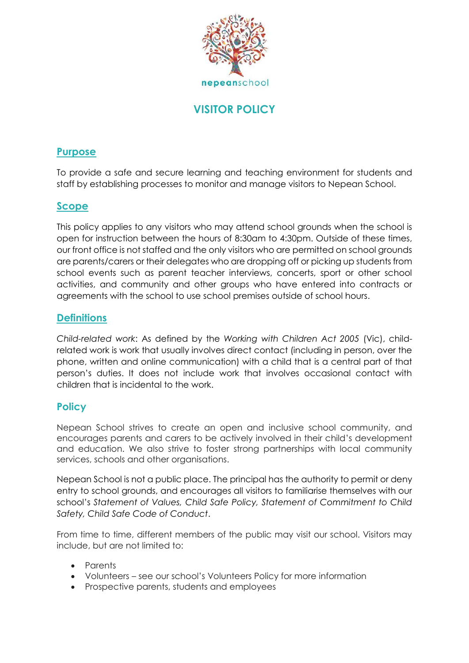

# **VISITOR POLICY**

## **Purpose**

To provide a safe and secure learning and teaching environment for students and staff by establishing processes to monitor and manage visitors to Nepean School.

## **Scope**

This policy applies to any visitors who may attend school grounds when the school is open for instruction between the hours of 8:30am to 4:30pm. Outside of these times, our front office is not staffed and the only visitors who are permitted on school grounds are parents/carers or their delegates who are dropping off or picking up students from school events such as parent teacher interviews, concerts, sport or other school activities, and community and other groups who have entered into contracts or agreements with the school to use school premises outside of school hours.

## **Definitions**

*Child-related work*: As defined by the *Working with Children Act 2005* (Vic), childrelated work is work that usually involves direct contact (including in person, over the phone, written and online communication) with a child that is a central part of that person's duties. It does not include work that involves occasional contact with children that is incidental to the work.

## **Policy**

Nepean School strives to create an open and inclusive school community, and encourages parents and carers to be actively involved in their child's development and education. We also strive to foster strong partnerships with local community services, schools and other organisations.

Nepean School is not a public place. The principal has the authority to permit or deny entry to school grounds, and encourages all visitors to familiarise themselves with our school's *Statement of Values, Child Safe Policy, Statement of Commitment to Child Safety, Child Safe Code of Conduct*.

From time to time, different members of the public may visit our school. Visitors may include, but are not limited to:

- Parents
- Volunteers see our school's Volunteers Policy for more information
- Prospective parents, students and employees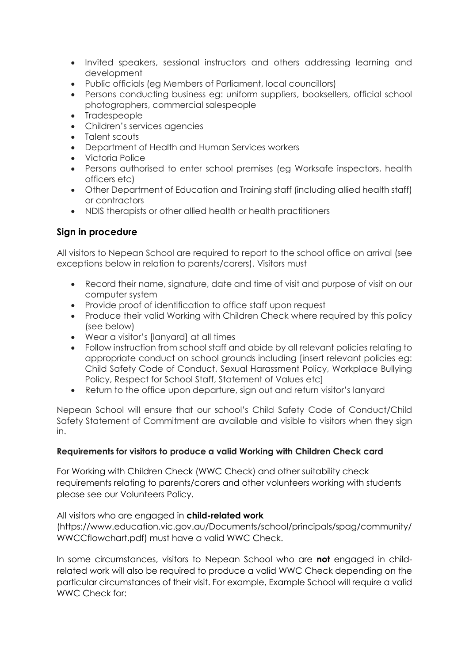- Invited speakers, sessional instructors and others addressing learning and development
- Public officials (eg Members of Parliament, local councillors)
- Persons conducting business eg: uniform suppliers, booksellers, official school photographers, commercial salespeople
- Tradespeople
- Children's services agencies
- Talent scouts
- Department of Health and Human Services workers
- Victoria Police
- Persons authorised to enter school premises (eg Worksafe inspectors, health officers etc)
- Other Department of Education and Training staff (including allied health staff) or contractors
- NDIS therapists or other allied health or health practitioners

## **Sign in procedure**

All visitors to Nepean School are required to report to the school office on arrival (see exceptions below in relation to parents/carers). Visitors must

- Record their name, signature, date and time of visit and purpose of visit on our computer system
- Provide proof of identification to office staff upon request
- Produce their valid Working with Children Check where required by this policy (see below)
- Wear a visitor's [lanyard] at all times
- Follow instruction from school staff and abide by all relevant policies relating to appropriate conduct on school grounds including [insert relevant policies eg: Child Safety Code of Conduct, Sexual Harassment Policy, Workplace Bullying Policy, Respect for School Staff, Statement of Values etc]
- Return to the office upon departure, sign out and return visitor's lanyard

Nepean School will ensure that our school's Child Safety Code of Conduct/Child Safety Statement of Commitment are available and visible to visitors when they sign in.

#### **Requirements for visitors to produce a valid Working with Children Check card**

For Working with Children Check (WWC Check) and other suitability check requirements relating to parents/carers and other volunteers working with students please see our Volunteers Policy.

All visitors who are engaged in **child-related work** (https://www.education.vic.gov.au/Documents/school/principals/spag/community/ WWCCflowchart.pdf) must have a valid WWC Check.

In some circumstances, visitors to Nepean School who are **not** engaged in childrelated work will also be required to produce a valid WWC Check depending on the particular circumstances of their visit. For example, Example School will require a valid WWC Check for: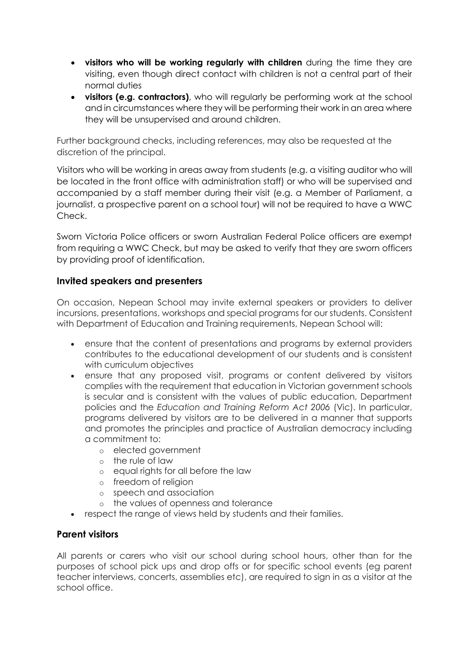- **visitors who will be working regularly with children** during the time they are visiting, even though direct contact with children is not a central part of their normal duties
- **visitors (e.g. contractors)**, who will regularly be performing work at the school and in circumstances where they will be performing their work in an area where they will be unsupervised and around children.

Further background checks, including references, may also be requested at the discretion of the principal.

Visitors who will be working in areas away from students (e.g. a visiting auditor who will be located in the front office with administration staff) or who will be supervised and accompanied by a staff member during their visit (e.g. a Member of Parliament, a journalist, a prospective parent on a school tour) will not be required to have a WWC Check.

Sworn Victoria Police officers or sworn Australian Federal Police officers are exempt from requiring a WWC Check, but may be asked to verify that they are sworn officers by providing proof of identification.

### **Invited speakers and presenters**

On occasion, Nepean School may invite external speakers or providers to deliver incursions, presentations, workshops and special programs for our students. Consistent with Department of Education and Training requirements, Nepean School will:

- ensure that the content of presentations and programs by external providers contributes to the educational development of our students and is consistent with curriculum objectives
- ensure that any proposed visit, programs or content delivered by visitors complies with the requirement that education in Victorian government schools is secular and is consistent with the values of public education, Department policies and the *Education and Training Reform Act 2006* (Vic). In particular, programs delivered by visitors are to be delivered in a manner that supports and promotes the principles and practice of Australian democracy including a commitment to:
	- o elected government
	- o the rule of law
	- o equal rights for all before the law
	- o freedom of religion
	- o speech and association
	- o the values of openness and tolerance
- respect the range of views held by students and their families.

## **Parent visitors**

All parents or carers who visit our school during school hours, other than for the purposes of school pick ups and drop offs or for specific school events (eg parent teacher interviews, concerts, assemblies etc), are required to sign in as a visitor at the school office.